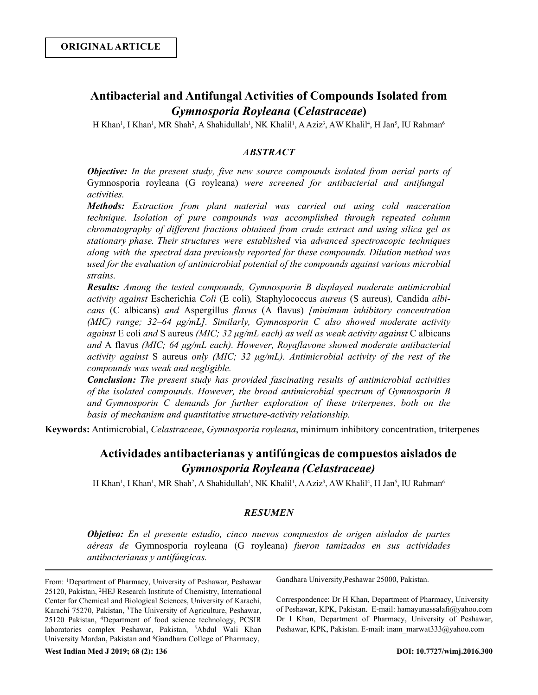# **Antibacterial and Antifungal Activities of Compounds Isolated from**  *Gymnosporia Royleana* **(***Celastraceae***)**

H Khan<sup>1</sup>, I Khan<sup>1</sup>, MR Shah<sup>2</sup>, A Shahidullah<sup>1</sup>, NK Khalil<sup>1</sup>, A Aziz<sup>3</sup>, AW Khalil<sup>4</sup>, H Jan<sup>5</sup>, IU Rahman<sup>6</sup>

## *ABSTRACT*

*Objective: In the present study, five new source compounds isolated from aerial parts of*  Gymnosporia royleana (G royleana) *were screened for antibacterial and antifungal activities.* 

*Methods: Extraction from plant material was carried out using cold maceration technique. Isolation of pure compounds was accomplished through repeated column chromatography of different fractions obtained from crude extract and using silica gel as stationary phase. Their structures were established* via *advanced spectroscopic techniques along with the spectral data previously reported for these compounds. Dilution method was used for the evaluation of antimicrobial potential of the compounds against various microbial strains.*

*Results: Among the tested compounds, Gymnosporin B displayed moderate antimicrobial activity against* Escherichia *Coli* (E coli)*,* Staphylococcus *aureus* (S aureus)*,* Candida *albicans* (C albicans) *and* Aspergillus *flavus* (A flavus) *[minimum inhibitory concentration (MIC) range; 32‒64 μg/mL]. Similarly, Gymnosporin C also showed moderate activity against* E coli *and* S aureus *(MIC; 32 μg/mL each) as well as weak activity against* C albicans *and* A flavus *(MIC; 64 μg/mL each). However, Royaflavone showed moderate antibacterial activity against* S aureus *only (MIC; 32 μg/mL). Antimicrobial activity of the rest of the compounds was weak and negligible.*

*Conclusion: The present study has provided fascinating results of antimicrobial activities of the isolated compounds. However, the broad antimicrobial spectrum of Gymnosporin B and Gymnosporin C demands for further exploration of these triterpenes, both on the basis of mechanism and quantitative structure-activity relationship.*

**Keywords:** Antimicrobial, *Celastraceae*, *Gymnosporia royleana*, minimum inhibitory concentration, triterpenes

## **Actividades antibacterianas y antifúngicas de compuestos aislados de** *Gymnosporia Royleana (Celastraceae)*

H Khan<sup>1</sup>, I Khan<sup>1</sup>, MR Shah<sup>2</sup>, A Shahidullah<sup>1</sup>, NK Khalil<sup>1</sup>, A Aziz<sup>3</sup>, AW Khalil<sup>4</sup>, H Jan<sup>5</sup>, IU Rahman<sup>6</sup>

## *RESUMEN*

*Objetivo: En el presente estudio, cinco nuevos compuestos de origen aislados de partes aéreas de* Gymnosporia royleana (G royleana) *fueron tamizados en sus actividades antibacterianas y antifúngicas.* 

From: <sup>1</sup>Department of Pharmacy, University of Peshawar, Peshawar 25120, Pakistan, <sup>2</sup>HEJ Research Institute of Chemistry, International Center for Chemical and Biological Sciences, University of Karachi, Karachi 75270, Pakistan, <sup>3</sup>The University of Agriculture, Peshawar, 25120 Pakistan, <sup>4</sup>Department of food science technology, PCSIR laboratories complex Peshawar, Pakistan, <sup>5</sup>Abdul Wali Khan University Mardan, Pakistan and <sup>6</sup>Gandhara College of Pharmacy,

Gandhara University,Peshawar 25000, Pakistan.

Correspondence: Dr H Khan, Department of Pharmacy, University of Peshawar, KPK, Pakistan. E-mail: hamayunassalafi@yahoo.com Dr I Khan, Department of Pharmacy, University of Peshawar, Peshawar, KPK, Pakistan. E-mail: inam\_marwat333@yahoo.com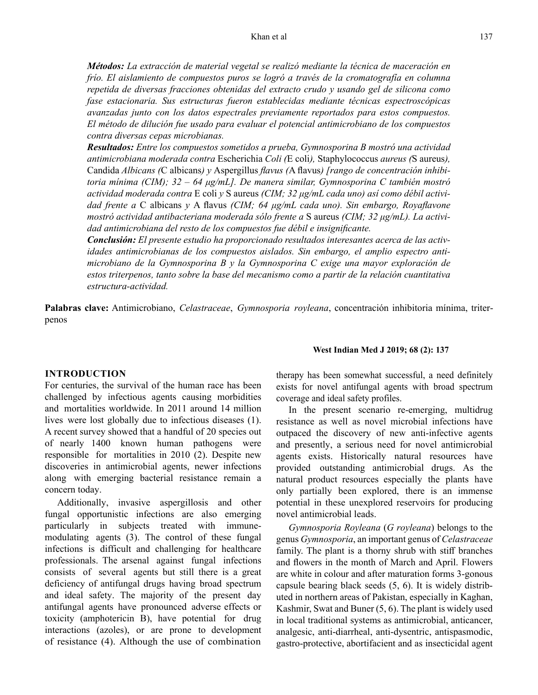*Métodos: La extracción de material vegetal se realizó mediante la técnica de maceración en frío. El aislamiento de compuestos puros se logró a través de la cromatografía en columna repetida de diversas fracciones obtenidas del extracto crudo y usando gel de silicona como fase estacionaria. Sus estructuras fueron establecidas mediante técnicas espectroscópicas avanzadas junto con los datos espectrales previamente reportados para estos compuestos. El método de dilución fue usado para evaluar el potencial antimicrobiano de los compuestos contra diversas cepas microbianas.*

*Resultados: Entre los compuestos sometidos a prueba, Gymnosporina B mostró una actividad antimicrobiana moderada contra* Escherichia *Coli (*E coli*),* Staphylococcus *aureus (*S aureus*),*  Candida *Albicans (*C albicans*) y* Aspergillus *flavus (*A flavus*) [rango de concentración inhibitoria mínima (CIM); 32 – 64 μg/mL]. De manera similar, Gymnosporina C también mostró actividad moderada contra* E coli *y* S aureus *(CIM; 32 μg/mL cada uno) así como débil actividad frente a* C albicans *y* A flavus *(CIM; 64 μg/mL cada uno). Sin embargo, Royaflavone mostró actividad antibacteriana moderada sólo frente a* S aureus *(CIM; 32 μg/mL). La actividad antimicrobiana del resto de los compuestos fue débil e insignificante.*

*Conclusión: El presente estudio ha proporcionado resultados interesantes acerca de las actividades antimicrobianas de los compuestos aislados. Sin embargo, el amplio espectro antimicrobiano de la Gymnosporina B y la Gymnosporina C exige una mayor exploración de estos triterpenos, tanto sobre la base del mecanismo como a partir de la relación cuantitativa estructura-actividad.*

**Palabras clave:** Antimicrobiano, *Celastraceae*, *Gymnosporia royleana*, concentración inhibitoria mínima, triterpenos

#### **INTRODUCTION**

For centuries, the survival of the human race has been challenged by infectious agents causing morbidities and mortalities worldwide. In 2011 around 14 million lives were lost globally due to infectious diseases (1). A recent survey showed that a handful of 20 species out of nearly 1400 known human pathogens were responsible for mortalities in 2010 (2). Despite new discoveries in antimicrobial agents, newer infections along with emerging bacterial resistance remain a concern today.

Additionally, invasive aspergillosis and other fungal opportunistic infections are also emerging particularly in subjects treated with immunemodulating agents (3). The control of these fungal infections is difficult and challenging for healthcare professionals. The arsenal against fungal infections consists of several agents but still there is a great deficiency of antifungal drugs having broad spectrum and ideal safety. The majority of the present day antifungal agents have pronounced adverse effects or toxicity (amphotericin B), have potential for drug interactions (azoles), or are prone to development of resistance (4). Although the use of combination

#### **West Indian Med J 2019; 68 (2): 137**

therapy has been somewhat successful, a need definitely exists for novel antifungal agents with broad spectrum coverage and ideal safety profiles.

In the present scenario re-emerging, multidrug resistance as well as novel microbial infections have outpaced the discovery of new anti-infective agents and presently, a serious need for novel antimicrobial agents exists. Historically natural resources have provided outstanding antimicrobial drugs. As the natural product resources especially the plants have only partially been explored, there is an immense potential in these unexplored reservoirs for producing novel antimicrobial leads.

*Gymnosporia Royleana* (*G royleana*) belongs to the genus *Gymnosporia*, an important genus of *Celastraceae* family. The plant is a thorny shrub with stiff branches and flowers in the month of March and April. Flowers are white in colour and after maturation forms 3-gonous capsule bearing black seeds (5, 6). It is widely distributed in northern areas of Pakistan, especially in Kaghan, Kashmir, Swat and Buner (5, 6). The plant is widely used in local traditional systems as antimicrobial, anticancer, analgesic, anti-diarrheal, anti-dysentric, antispasmodic, gastro-protective, abortifacient and as insecticidal agent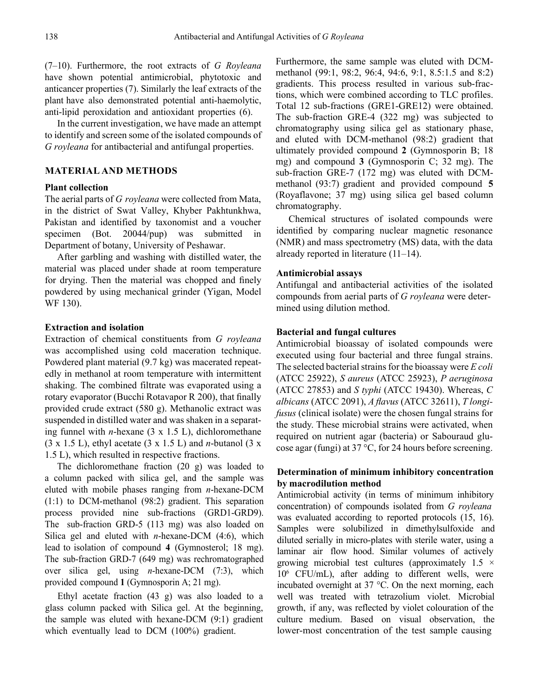(7‒10). Furthermore, the root extracts of *G Royleana* have shown potential antimicrobial, phytotoxic and anticancer properties (7). Similarly the leaf extracts of the plant have also demonstrated potential anti-haemolytic, anti-lipid peroxidation and antioxidant properties (6).

In the current investigation, we have made an attempt to identify and screen some of the isolated compounds of *G royleana* for antibacterial and antifungal properties.

## **MATERIAL AND METHODS**

## **Plant collection**

The aerial parts of *G royleana* were collected from Mata, in the district of Swat Valley, Khyber Pakhtunkhwa, Pakistan and identified by taxonomist and a voucher specimen (Bot. 20044/pup) was submitted in Department of botany, University of Peshawar.

After garbling and washing with distilled water, the material was placed under shade at room temperature for drying. Then the material was chopped and finely powdered by using mechanical grinder (Yigan, Model WF 130).

### **Extraction and isolation**

Extraction of chemical constituents from *G royleana* was accomplished using cold maceration technique. Powdered plant material (9.7 kg) was macerated repeatedly in methanol at room temperature with intermittent shaking. The combined filtrate was evaporated using a rotary evaporator (Bucchi Rotavapor R 200), that finally provided crude extract (580 g). Methanolic extract was suspended in distilled water and was shaken in a separating funnel with *n*-hexane (3 х 1.5 L), dichloromethane (3 х 1.5 L), ethyl acetate (3 х 1.5 L) and *n*-butanol (3 х 1.5 L), which resulted in respective fractions.

The dichloromethane fraction (20 g) was loaded to a column packed with silica gel, and the sample was eluted with mobile phases ranging from *n*-hexane-DCM (1:1) to DCM-methanol (98:2) gradient. This separation process provided nine sub-fractions (GRD1-GRD9). The sub-fraction GRD-5 (113 mg) was also loaded on Silica gel and eluted with *n*-hexane-DCM (4:6), which lead to isolation of compound **4** (Gymnosterol; 18 mg). The sub-fraction GRD-7 (649 mg) was rechromatographed over silica gel, using *n*-hexane-DCM (7:3), which provided compound **1** (Gymnosporin A; 21 mg).

Ethyl acetate fraction (43 g) was also loaded to a glass column packed with Silica gel. At the beginning, the sample was eluted with hexane-DCM (9:1) gradient which eventually lead to DCM (100%) gradient.

Furthermore, the same sample was eluted with DCMmethanol (99:1, 98:2, 96:4, 94:6, 9:1, 8.5:1.5 and 8:2) gradients. This process resulted in various sub-fractions, which were combined according to TLC profiles. Total 12 sub-fractions (GRE1-GRE12) were obtained. The sub-fraction GRE-4 (322 mg) was subjected to chromatography using silica gel as stationary phase, and eluted with DCM-methanol (98:2) gradient that ultimately provided compound **2** (Gymnosporin B; 18 mg) and compound **3** (Gymnosporin C; 32 mg). The sub-fraction GRE-7 (172 mg) was eluted with DCMmethanol (93:7) gradient and provided compound **5** (Royaflavone; 37 mg) using silica gel based column chromatography.

Chemical structures of isolated compounds were identified by comparing nuclear magnetic resonance (NMR) and mass spectrometry (MS) data, with the data already reported in literature  $(11-14)$ .

#### **Antimicrobial assays**

Antifungal and antibacterial activities of the isolated compounds from aerial parts of *G royleana* were determined using dilution method.

## **Bacterial and fungal cultures**

Antimicrobial bioassay of isolated compounds were executed using four bacterial and three fungal strains. The selected bacterial strains for the bioassay were *E coli*  (ATCC 25922), *S aureus* (ATCC 25923), *P aeruginosa* (ATCC 27853) and *S typhi* (ATCC 19430). Whereas, *C albicans* (ATCC 2091), *A flavus* (ATCC 32611), *T longifusus* (clinical isolate) were the chosen fungal strains for the study. These microbial strains were activated, when required on nutrient agar (bacteria) or Sabouraud glucose agar (fungi) at 37 °C, for 24 hours before screening.

## **Determination of minimum inhibitory concentration by macrodilution method**

Antimicrobial activity (in terms of minimum inhibitory concentration) of compounds isolated from *G royleana*  was evaluated according to reported protocols (15, 16). Samples were solubilized in dimethylsulfoxide and diluted serially in micro-plates with sterile water, using a laminar air flow hood. Similar volumes of actively growing microbial test cultures (approximately  $1.5 \times$ 10<sup>6</sup> CFU/mL), after adding to different wells, were incubated overnight at 37 °C. On the next morning, each well was treated with tetrazolium violet. Microbial growth, if any, was reflected by violet colouration of the culture medium. Based on visual observation, the lower-most concentration of the test sample causing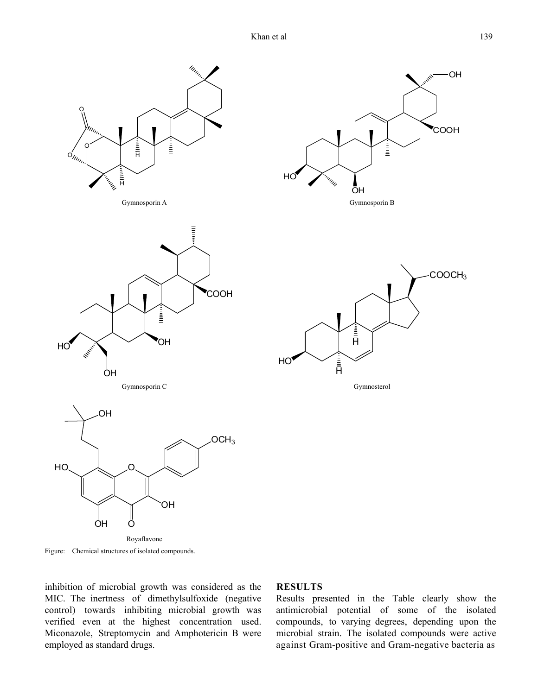

Figure: Chemical structures of isolated compounds.

inhibition of microbial growth was considered as the MIC. The inertness of dimethylsulfoxide (negative control) towards inhibiting microbial growth was verified even at the highest concentration used. Miconazole, Streptomycin and Amphotericin B were employed as standard drugs.

## **RESULTS**

Results presented in the Table clearly show the antimicrobial potential of some of the isolated compounds, to varying degrees, depending upon the microbial strain. The isolated compounds were active against Gram-positive and Gram-negative bacteria as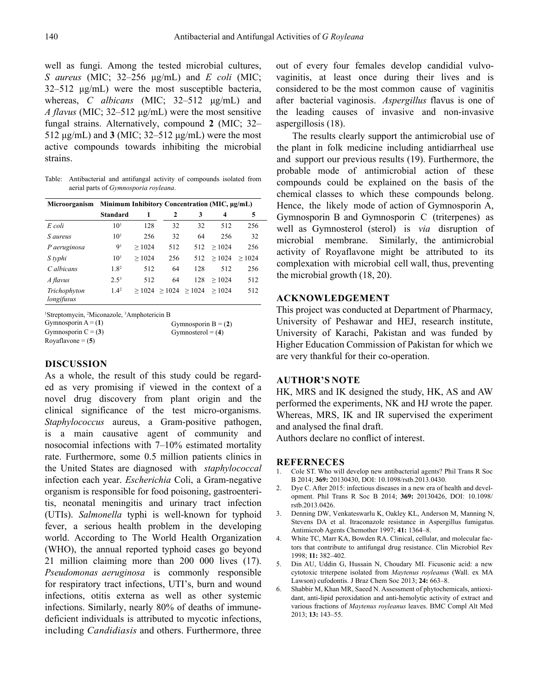well as fungi. Among the tested microbial cultures, *S aureus* (MIC; 32–256 μg/mL) and *E coli* (MIC;  $32-512 \mu g/mL$ ) were the most susceptible bacteria, whereas, *C albicans* (MIC; 32–512 μg/mL) and *A flavus* (MIC; 32‒512 μg/mL) were the most sensitive fungal strains. Alternatively, compound 2 (MIC; 32– 512  $\mu$ g/mL) and **3** (MIC; 32–512  $\mu$ g/mL) were the most active compounds towards inhibiting the microbial strains.

Table: Antibacterial and antifungal activity of compounds isolated from aerial parts of *Gymnosporia royleana*.

| Microorganism              | Minimum Inhibitory Concentration (MIC, μg/mL) |       |              |                |       |       |
|----------------------------|-----------------------------------------------|-------|--------------|----------------|-------|-------|
|                            | <b>Standard</b>                               | 1     | $\mathbf{2}$ | 3              | 4     | 5     |
| E coli                     | 10 <sup>1</sup>                               | 128   | 32           | 32             | 512   | 256   |
| S aureus                   | 10 <sup>1</sup>                               | 256   | 32           | 64             | 256   | 32    |
| P aeruginosa               | 9 <sup>1</sup>                                | >1024 | 512          | 512            | >1024 | 256   |
| S typhi                    | 10 <sup>1</sup>                               | >1024 | 256          | 512            | >1024 | >1024 |
| C albicans                 | 1.8 <sup>2</sup>                              | 512   | 64           | 128            | 512   | 256   |
| A flavus                   | $2.5^{3}$                                     | 512   | 64           | 128            | >1024 | 512   |
| Trichophyton<br>longifusus | $1.4^2$                                       | >1024 |              | $>1024$ > 1024 | >1024 | 512   |

<sup>1</sup>Streptomycin, <sup>2</sup>Miconazole, <sup>3</sup>Amphotericin B

| Gymnosporin $A = (1)$ | Gymnosporin $B = (2)$ |
|-----------------------|-----------------------|
| Gymnosporin $C = (3)$ | Gymnosterol = $(4)$   |
| Royaflavone $= (5)$   |                       |

## **DISCUSSION**

As a whole, the result of this study could be regarded as very promising if viewed in the context of a novel drug discovery from plant origin and the clinical significance of the test micro-organisms. *Staphylococcus* aureus, a Gram-positive pathogen, is a main causative agent of community and nosocomial infections with  $7-10%$  estimated mortality rate. Furthermore, some 0.5 million patients clinics in the United States are diagnosed with *staphylococcal* infection each year. *Escherichia* Coli, a Gram-negative organism is responsible for food poisoning, gastroenteritis, neonatal meningitis and urinary tract infection (UTIs). *Salmonella* typhi is well-known for typhoid fever, a serious health problem in the developing world. According to The World Health Organization (WHO), the annual reported typhoid cases go beyond 21 million claiming more than 200 000 lives (17). *Pseudomonas aeruginosa* is commonly responsible for respiratory tract infections, UTI's, burn and wound infections, otitis externa as well as other systemic infections. Similarly, nearly 80% of deaths of immunedeficient individuals is attributed to mycotic infections, including *Candidiasis* and others. Furthermore, three

out of every four females develop candidial vulvovaginitis, at least once during their lives and is considered to be the most common cause of vaginitis after bacterial vaginosis. *Aspergillus* flavus is one of the leading causes of invasive and non-invasive aspergillosis (18).

The results clearly support the antimicrobial use of the plant in folk medicine including antidiarrheal use and support our previous results (19). Furthermore, the probable mode of antimicrobial action of these compounds could be explained on the basis of the chemical classes to which these compounds belong. Hence, the likely mode of action of Gymnosporin A, Gymnosporin B and Gymnosporin C (triterpenes) as well as Gymnosterol (sterol) is *via* disruption of microbial membrane. Similarly, the antimicrobial activity of Royaflavone might be attributed to its complexation with microbial cell wall, thus, preventing the microbial growth (18, 20).

## **ACKNOWLEDGEMENT**

This project was conducted at Department of Pharmacy, University of Peshawar and HEJ, research institute, University of Karachi, Pakistan and was funded by Higher Education Commission of Pakistan for which we are very thankful for their co-operation.

## **AUTHOR'S NOTE**

HK, MRS and IK designed the study, HK, AS and AW performed the experiments, NK and HJ wrote the paper. Whereas, MRS, IK and IR supervised the experiment and analysed the final draft.

Authors declare no conflict of interest.

#### **REFERNECES**

- 1. Cole ST. Who will develop new antibacterial agents? Phil Trans R Soc B 2014; **369:** 20130430, DOI: 10.1098/rstb.2013.0430.
- 2. Dye C. After 2015: infectious diseases in a new era of health and development. Phil Trans R Soc B 2014; **369:** 20130426, DOI: 10.1098/ rstb.2013.0426.
- 3. Denning DW, Venkateswarlu K, Oakley KL, Anderson M, Manning N, Stevens DA et al. Itraconazole resistance in Aspergillus fumigatus. Antimicrob Agents Chemother 1997; **41:** 1364–8.
- 4. White TC, Marr KA, Bowden RA. Clinical, cellular, and molecular factors that contribute to antifungal drug resistance. Clin Microbiol Rev 1998; **11:** 382–402.
- 5. Din AU, Uddin G, Hussain N, Choudary MI. Ficusonic acid: a new cytotoxic triterpene isolated from *Maytenus royleanus* (Wall. ex MA Lawson) cufodontis. J Braz Chem Soc 2013; **24:** 663–8.
- 6. Shabbir M, Khan MR, Saeed N. Assessment of phytochemicals, antioxidant, anti-lipid peroxidation and anti-hemolytic activity of extract and various fractions of *Maytenus royleanus* leaves. BMC Compl Alt Med 2013; **13:** 143–55.